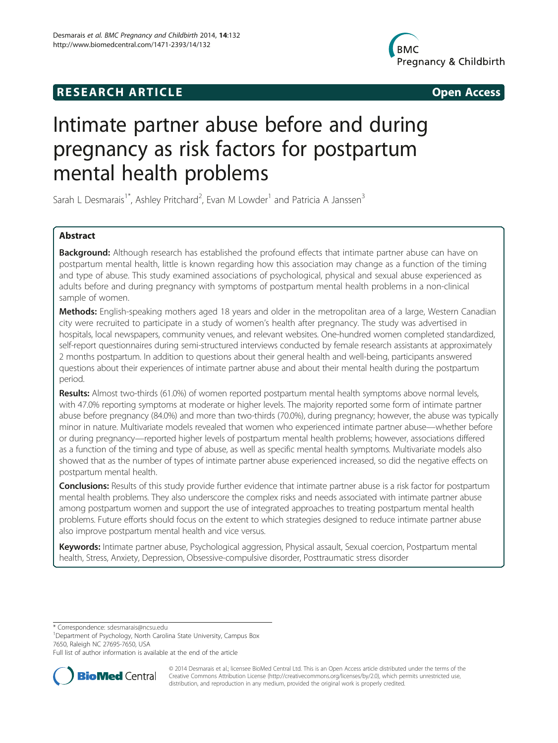# **RESEARCH ARTICLE Example 2014 12:25 Open Access**



# Intimate partner abuse before and during pregnancy as risk factors for postpartum mental health problems

Sarah L Desmarais<sup>1\*</sup>, Ashley Pritchard<sup>2</sup>, Evan M Lowder<sup>1</sup> and Patricia A Janssen<sup>3</sup>

# Abstract

Background: Although research has established the profound effects that intimate partner abuse can have on postpartum mental health, little is known regarding how this association may change as a function of the timing and type of abuse. This study examined associations of psychological, physical and sexual abuse experienced as adults before and during pregnancy with symptoms of postpartum mental health problems in a non-clinical sample of women.

Methods: English-speaking mothers aged 18 years and older in the metropolitan area of a large, Western Canadian city were recruited to participate in a study of women's health after pregnancy. The study was advertised in hospitals, local newspapers, community venues, and relevant websites. One-hundred women completed standardized, self-report questionnaires during semi-structured interviews conducted by female research assistants at approximately 2 months postpartum. In addition to questions about their general health and well-being, participants answered questions about their experiences of intimate partner abuse and about their mental health during the postpartum period.

Results: Almost two-thirds (61.0%) of women reported postpartum mental health symptoms above normal levels, with 47.0% reporting symptoms at moderate or higher levels. The majority reported some form of intimate partner abuse before pregnancy (84.0%) and more than two-thirds (70.0%), during pregnancy; however, the abuse was typically minor in nature. Multivariate models revealed that women who experienced intimate partner abuse—whether before or during pregnancy—reported higher levels of postpartum mental health problems; however, associations differed as a function of the timing and type of abuse, as well as specific mental health symptoms. Multivariate models also showed that as the number of types of intimate partner abuse experienced increased, so did the negative effects on postpartum mental health.

**Conclusions:** Results of this study provide further evidence that intimate partner abuse is a risk factor for postpartum mental health problems. They also underscore the complex risks and needs associated with intimate partner abuse among postpartum women and support the use of integrated approaches to treating postpartum mental health problems. Future efforts should focus on the extent to which strategies designed to reduce intimate partner abuse also improve postpartum mental health and vice versus.

Keywords: Intimate partner abuse, Psychological aggression, Physical assault, Sexual coercion, Postpartum mental health, Stress, Anxiety, Depression, Obsessive-compulsive disorder, Posttraumatic stress disorder

\* Correspondence: [sdesmarais@ncsu.edu](mailto:sdesmarais@ncsu.edu) <sup>1</sup>

Department of Psychology, North Carolina State University, Campus Box 7650, Raleigh NC 27695-7650, USA

Full list of author information is available at the end of the article



© 2014 Desmarais et al.; licensee BioMed Central Ltd. This is an Open Access article distributed under the terms of the Creative Commons Attribution License (<http://creativecommons.org/licenses/by/2.0>), which permits unrestricted use, distribution, and reproduction in any medium, provided the original work is properly credited.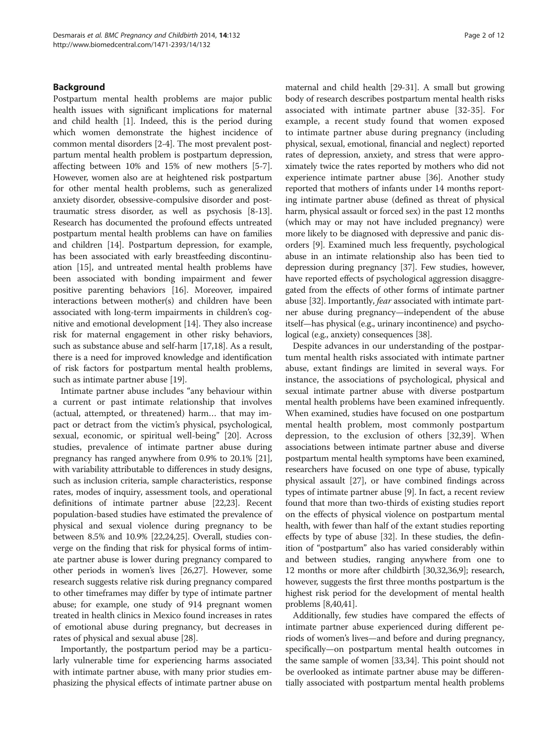#### Background

Postpartum mental health problems are major public health issues with significant implications for maternal and child health [\[1](#page-10-0)]. Indeed, this is the period during which women demonstrate the highest incidence of common mental disorders [\[2-4](#page-10-0)]. The most prevalent postpartum mental health problem is postpartum depression, affecting between 10% and 15% of new mothers [\[5](#page-10-0)-[7](#page-10-0)]. However, women also are at heightened risk postpartum for other mental health problems, such as generalized anxiety disorder, obsessive-compulsive disorder and posttraumatic stress disorder, as well as psychosis [\[8](#page-10-0)-[13](#page-10-0)]. Research has documented the profound effects untreated postpartum mental health problems can have on families and children [\[14](#page-10-0)]. Postpartum depression, for example, has been associated with early breastfeeding discontinuation [\[15\]](#page-10-0), and untreated mental health problems have been associated with bonding impairment and fewer positive parenting behaviors [\[16](#page-10-0)]. Moreover, impaired interactions between mother(s) and children have been associated with long-term impairments in children's cognitive and emotional development [\[14\]](#page-10-0). They also increase risk for maternal engagement in other risky behaviors, such as substance abuse and self-harm [[17,18\]](#page-10-0). As a result, there is a need for improved knowledge and identification of risk factors for postpartum mental health problems, such as intimate partner abuse [[19](#page-10-0)].

Intimate partner abuse includes "any behaviour within a current or past intimate relationship that involves (actual, attempted, or threatened) harm… that may impact or detract from the victim's physical, psychological, sexual, economic, or spiritual well-being" [[20](#page-10-0)]. Across studies, prevalence of intimate partner abuse during pregnancy has ranged anywhere from 0.9% to 20.1% [[21](#page-10-0)], with variability attributable to differences in study designs, such as inclusion criteria, sample characteristics, response rates, modes of inquiry, assessment tools, and operational definitions of intimate partner abuse [[22](#page-10-0)[,23\]](#page-11-0). Recent population-based studies have estimated the prevalence of physical and sexual violence during pregnancy to be between 8.5% and 10.9% [\[22,](#page-10-0)[24,25](#page-11-0)]. Overall, studies converge on the finding that risk for physical forms of intimate partner abuse is lower during pregnancy compared to other periods in women's lives [\[26,27\]](#page-11-0). However, some research suggests relative risk during pregnancy compared to other timeframes may differ by type of intimate partner abuse; for example, one study of 914 pregnant women treated in health clinics in Mexico found increases in rates of emotional abuse during pregnancy, but decreases in rates of physical and sexual abuse [\[28](#page-11-0)].

Importantly, the postpartum period may be a particularly vulnerable time for experiencing harms associated with intimate partner abuse, with many prior studies emphasizing the physical effects of intimate partner abuse on

maternal and child health [[29](#page-11-0)-[31](#page-11-0)]. A small but growing body of research describes postpartum mental health risks associated with intimate partner abuse [[32-35\]](#page-11-0). For example, a recent study found that women exposed to intimate partner abuse during pregnancy (including physical, sexual, emotional, financial and neglect) reported rates of depression, anxiety, and stress that were approximately twice the rates reported by mothers who did not experience intimate partner abuse [[36](#page-11-0)]. Another study reported that mothers of infants under 14 months reporting intimate partner abuse (defined as threat of physical harm, physical assault or forced sex) in the past 12 months (which may or may not have included pregnancy) were more likely to be diagnosed with depressive and panic disorders [\[9\]](#page-10-0). Examined much less frequently, psychological abuse in an intimate relationship also has been tied to depression during pregnancy [\[37\]](#page-11-0). Few studies, however, have reported effects of psychological aggression disaggregated from the effects of other forms of intimate partner abuse [[32\]](#page-11-0). Importantly, fear associated with intimate partner abuse during pregnancy—independent of the abuse itself—has physical (e.g., urinary incontinence) and psychological (e.g., anxiety) consequences [[38](#page-11-0)].

Despite advances in our understanding of the postpartum mental health risks associated with intimate partner abuse, extant findings are limited in several ways. For instance, the associations of psychological, physical and sexual intimate partner abuse with diverse postpartum mental health problems have been examined infrequently. When examined, studies have focused on one postpartum mental health problem, most commonly postpartum depression, to the exclusion of others [\[32](#page-11-0),[39\]](#page-11-0). When associations between intimate partner abuse and diverse postpartum mental health symptoms have been examined, researchers have focused on one type of abuse, typically physical assault [\[27\]](#page-11-0), or have combined findings across types of intimate partner abuse [[9](#page-10-0)]. In fact, a recent review found that more than two-thirds of existing studies report on the effects of physical violence on postpartum mental health, with fewer than half of the extant studies reporting effects by type of abuse [\[32\]](#page-11-0). In these studies, the definition of "postpartum" also has varied considerably within and between studies, ranging anywhere from one to 12 months or more after childbirth [[30,32,36,](#page-11-0)[9\]](#page-10-0); research, however, suggests the first three months postpartum is the highest risk period for the development of mental health problems [[8,](#page-10-0)[40,41\]](#page-11-0).

Additionally, few studies have compared the effects of intimate partner abuse experienced during different periods of women's lives—and before and during pregnancy, specifically—on postpartum mental health outcomes in the same sample of women [\[33,34](#page-11-0)]. This point should not be overlooked as intimate partner abuse may be differentially associated with postpartum mental health problems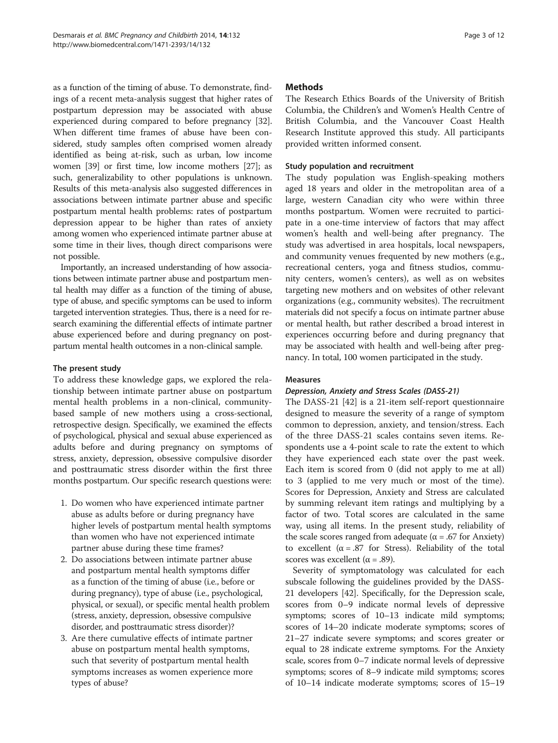as a function of the timing of abuse. To demonstrate, findings of a recent meta-analysis suggest that higher rates of postpartum depression may be associated with abuse experienced during compared to before pregnancy [[32](#page-11-0)]. When different time frames of abuse have been considered, study samples often comprised women already identified as being at-risk, such as urban, low income women [[39\]](#page-11-0) or first time, low income mothers [\[27\]](#page-11-0); as such, generalizability to other populations is unknown. Results of this meta-analysis also suggested differences in associations between intimate partner abuse and specific postpartum mental health problems: rates of postpartum depression appear to be higher than rates of anxiety among women who experienced intimate partner abuse at some time in their lives, though direct comparisons were not possible.

Importantly, an increased understanding of how associations between intimate partner abuse and postpartum mental health may differ as a function of the timing of abuse, type of abuse, and specific symptoms can be used to inform targeted intervention strategies. Thus, there is a need for research examining the differential effects of intimate partner abuse experienced before and during pregnancy on postpartum mental health outcomes in a non-clinical sample.

# The present study

To address these knowledge gaps, we explored the relationship between intimate partner abuse on postpartum mental health problems in a non-clinical, communitybased sample of new mothers using a cross-sectional, retrospective design. Specifically, we examined the effects of psychological, physical and sexual abuse experienced as adults before and during pregnancy on symptoms of stress, anxiety, depression, obsessive compulsive disorder and posttraumatic stress disorder within the first three months postpartum. Our specific research questions were:

- 1. Do women who have experienced intimate partner abuse as adults before or during pregnancy have higher levels of postpartum mental health symptoms than women who have not experienced intimate partner abuse during these time frames?
- 2. Do associations between intimate partner abuse and postpartum mental health symptoms differ as a function of the timing of abuse (i.e., before or during pregnancy), type of abuse (i.e., psychological, physical, or sexual), or specific mental health problem (stress, anxiety, depression, obsessive compulsive disorder, and posttraumatic stress disorder)?
- 3. Are there cumulative effects of intimate partner abuse on postpartum mental health symptoms, such that severity of postpartum mental health symptoms increases as women experience more types of abuse?

# **Methods**

The Research Ethics Boards of the University of British Columbia, the Children's and Women's Health Centre of British Columbia, and the Vancouver Coast Health Research Institute approved this study. All participants provided written informed consent.

# Study population and recruitment

The study population was English-speaking mothers aged 18 years and older in the metropolitan area of a large, western Canadian city who were within three months postpartum. Women were recruited to participate in a one-time interview of factors that may affect women's health and well-being after pregnancy. The study was advertised in area hospitals, local newspapers, and community venues frequented by new mothers (e.g., recreational centers, yoga and fitness studios, community centers, women's centers), as well as on websites targeting new mothers and on websites of other relevant organizations (e.g., community websites). The recruitment materials did not specify a focus on intimate partner abuse or mental health, but rather described a broad interest in experiences occurring before and during pregnancy that may be associated with health and well-being after pregnancy. In total, 100 women participated in the study.

# Measures

# Depression, Anxiety and Stress Scales (DASS-21)

The DASS-21 [[42](#page-11-0)] is a 21-item self-report questionnaire designed to measure the severity of a range of symptom common to depression, anxiety, and tension/stress. Each of the three DASS-21 scales contains seven items. Respondents use a 4-point scale to rate the extent to which they have experienced each state over the past week. Each item is scored from 0 (did not apply to me at all) to 3 (applied to me very much or most of the time). Scores for Depression, Anxiety and Stress are calculated by summing relevant item ratings and multiplying by a factor of two. Total scores are calculated in the same way, using all items. In the present study, reliability of the scale scores ranged from adequate ( $α = .67$  for Anxiety) to excellent ( $\alpha = .87$  for Stress). Reliability of the total scores was excellent ( $\alpha$  = .89).

Severity of symptomatology was calculated for each subscale following the guidelines provided by the DASS-21 developers [[42](#page-11-0)]. Specifically, for the Depression scale, scores from 0–9 indicate normal levels of depressive symptoms; scores of 10–13 indicate mild symptoms; scores of 14–20 indicate moderate symptoms; scores of 21–27 indicate severe symptoms; and scores greater or equal to 28 indicate extreme symptoms. For the Anxiety scale, scores from 0–7 indicate normal levels of depressive symptoms; scores of 8–9 indicate mild symptoms; scores of 10–14 indicate moderate symptoms; scores of 15–19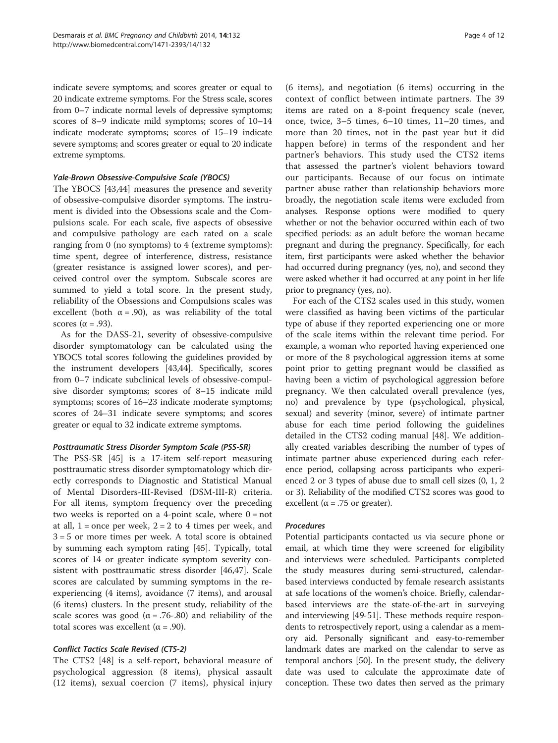indicate severe symptoms; and scores greater or equal to 20 indicate extreme symptoms. For the Stress scale, scores from 0–7 indicate normal levels of depressive symptoms; scores of 8–9 indicate mild symptoms; scores of 10–14 indicate moderate symptoms; scores of 15–19 indicate severe symptoms; and scores greater or equal to 20 indicate extreme symptoms.

#### Yale-Brown Obsessive-Compulsive Scale (YBOCS)

The YBOCS [\[43,44](#page-11-0)] measures the presence and severity of obsessive-compulsive disorder symptoms. The instrument is divided into the Obsessions scale and the Compulsions scale. For each scale, five aspects of obsessive and compulsive pathology are each rated on a scale ranging from 0 (no symptoms) to 4 (extreme symptoms): time spent, degree of interference, distress, resistance (greater resistance is assigned lower scores), and perceived control over the symptom. Subscale scores are summed to yield a total score. In the present study, reliability of the Obsessions and Compulsions scales was excellent (both  $\alpha = .90$ ), as was reliability of the total scores ( $\alpha$  = .93).

As for the DASS-21, severity of obsessive-compulsive disorder symptomatology can be calculated using the YBOCS total scores following the guidelines provided by the instrument developers [\[43,44\]](#page-11-0). Specifically, scores from 0–7 indicate subclinical levels of obsessive-compulsive disorder symptoms; scores of 8–15 indicate mild symptoms; scores of 16–23 indicate moderate symptoms; scores of 24–31 indicate severe symptoms; and scores greater or equal to 32 indicate extreme symptoms.

# Posttraumatic Stress Disorder Symptom Scale (PSS-SR)

The PSS-SR [[45\]](#page-11-0) is a 17-item self-report measuring posttraumatic stress disorder symptomatology which directly corresponds to Diagnostic and Statistical Manual of Mental Disorders-III-Revised (DSM-III-R) criteria. For all items, symptom frequency over the preceding two weeks is reported on a 4-point scale, where  $0 = not$ at all,  $1 =$  once per week,  $2 = 2$  to 4 times per week, and  $3 = 5$  or more times per week. A total score is obtained by summing each symptom rating [\[45](#page-11-0)]. Typically, total scores of 14 or greater indicate symptom severity consistent with posttraumatic stress disorder [\[46,47](#page-11-0)]. Scale scores are calculated by summing symptoms in the reexperiencing (4 items), avoidance (7 items), and arousal (6 items) clusters. In the present study, reliability of the scale scores was good ( $\alpha = .76-.80$ ) and reliability of the total scores was excellent ( $α = .90$ ).

# Conflict Tactics Scale Revised (CTS-2)

The CTS2 [[48\]](#page-11-0) is a self-report, behavioral measure of psychological aggression (8 items), physical assault (12 items), sexual coercion (7 items), physical injury

(6 items), and negotiation (6 items) occurring in the context of conflict between intimate partners. The 39 items are rated on a 8-point frequency scale (never, once, twice, 3–5 times, 6–10 times, 11–20 times, and more than 20 times, not in the past year but it did happen before) in terms of the respondent and her partner's behaviors. This study used the CTS2 items that assessed the partner's violent behaviors toward our participants. Because of our focus on intimate partner abuse rather than relationship behaviors more broadly, the negotiation scale items were excluded from analyses. Response options were modified to query whether or not the behavior occurred within each of two specified periods: as an adult before the woman became pregnant and during the pregnancy. Specifically, for each item, first participants were asked whether the behavior had occurred during pregnancy (yes, no), and second they were asked whether it had occurred at any point in her life prior to pregnancy (yes, no).

For each of the CTS2 scales used in this study, women were classified as having been victims of the particular type of abuse if they reported experiencing one or more of the scale items within the relevant time period. For example, a woman who reported having experienced one or more of the 8 psychological aggression items at some point prior to getting pregnant would be classified as having been a victim of psychological aggression before pregnancy. We then calculated overall prevalence (yes, no) and prevalence by type (psychological, physical, sexual) and severity (minor, severe) of intimate partner abuse for each time period following the guidelines detailed in the CTS2 coding manual [\[48](#page-11-0)]. We additionally created variables describing the number of types of intimate partner abuse experienced during each reference period, collapsing across participants who experienced 2 or 3 types of abuse due to small cell sizes (0, 1, 2 or 3). Reliability of the modified CTS2 scores was good to excellent ( $\alpha$  = .75 or greater).

# Procedures

Potential participants contacted us via secure phone or email, at which time they were screened for eligibility and interviews were scheduled. Participants completed the study measures during semi-structured, calendarbased interviews conducted by female research assistants at safe locations of the women's choice. Briefly, calendarbased interviews are the state-of-the-art in surveying and interviewing [\[49-51\]](#page-11-0). These methods require respondents to retrospectively report, using a calendar as a memory aid. Personally significant and easy-to-remember landmark dates are marked on the calendar to serve as temporal anchors [[50\]](#page-11-0). In the present study, the delivery date was used to calculate the approximate date of conception. These two dates then served as the primary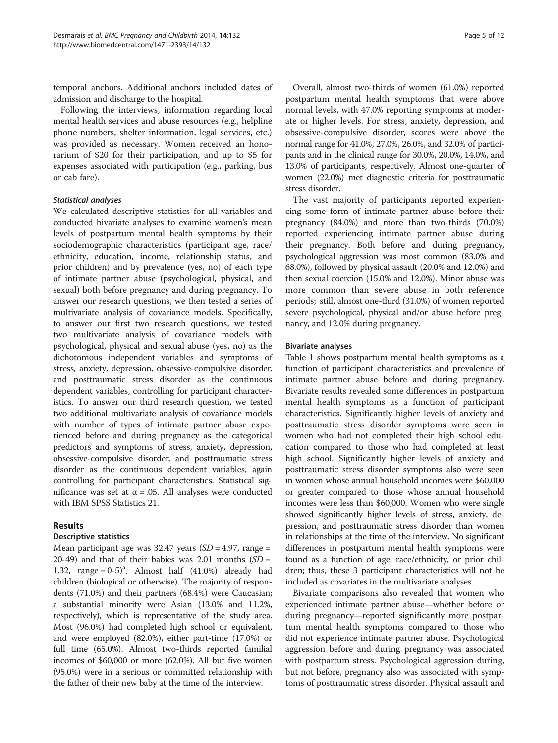temporal anchors. Additional anchors included dates of admission and discharge to the hospital.

Following the interviews, information regarding local mental health services and abuse resources (e.g., helpline phone numbers, shelter information, legal services, etc.) was provided as necessary. Women received an honorarium of \$20 for their participation, and up to \$5 for expenses associated with participation (e.g., parking, bus or cab fare).

#### Statistical analyses

We calculated descriptive statistics for all variables and conducted bivariate analyses to examine women's mean levels of postpartum mental health symptoms by their sociodemographic characteristics (participant age, race/ ethnicity, education, income, relationship status, and prior children) and by prevalence (yes, no) of each type of intimate partner abuse (psychological, physical, and sexual) both before pregnancy and during pregnancy. To answer our research questions, we then tested a series of multivariate analysis of covariance models. Specifically, to answer our first two research questions, we tested two multivariate analysis of covariance models with psychological, physical and sexual abuse (yes, no) as the dichotomous independent variables and symptoms of stress, anxiety, depression, obsessive-compulsive disorder, and posttraumatic stress disorder as the continuous dependent variables, controlling for participant characteristics. To answer our third research question, we tested two additional multivariate analysis of covariance models with number of types of intimate partner abuse experienced before and during pregnancy as the categorical predictors and symptoms of stress, anxiety, depression, obsessive-compulsive disorder, and posttraumatic stress disorder as the continuous dependent variables, again controlling for participant characteristics. Statistical significance was set at  $\alpha$  = .05. All analyses were conducted with IBM SPSS Statistics 21.

# **Results**

#### Descriptive statistics

Mean participant age was 32.47 years  $(SD = 4.97, \text{ range} =$ 20-49) and that of their babies was 2.01 months  $(SD =$ 1.32, range =  $0-5$ <sup>a</sup>. Almost half  $(41.0%)$  already had children (biological or otherwise). The majority of respondents (71.0%) and their partners (68.4%) were Caucasian; a substantial minority were Asian (13.0% and 11.2%, respectively), which is representative of the study area. Most (96.0%) had completed high school or equivalent, and were employed (82.0%), either part-time (17.0%) or full time (65.0%). Almost two-thirds reported familial incomes of \$60,000 or more (62.0%). All but five women (95.0%) were in a serious or committed relationship with the father of their new baby at the time of the interview.

Overall, almost two-thirds of women (61.0%) reported postpartum mental health symptoms that were above normal levels, with 47.0% reporting symptoms at moderate or higher levels. For stress, anxiety, depression, and obsessive-compulsive disorder, scores were above the normal range for 41.0%, 27.0%, 26.0%, and 32.0% of participants and in the clinical range for 30.0%, 20.0%, 14.0%, and 13.0% of participants, respectively. Almost one-quarter of women (22.0%) met diagnostic criteria for posttraumatic stress disorder.

The vast majority of participants reported experiencing some form of intimate partner abuse before their pregnancy (84.0%) and more than two-thirds (70.0%) reported experiencing intimate partner abuse during their pregnancy. Both before and during pregnancy, psychological aggression was most common (83.0% and 68.0%), followed by physical assault (20.0% and 12.0%) and then sexual coercion (15.0% and 12.0%). Minor abuse was more common than severe abuse in both reference periods; still, almost one-third (31.0%) of women reported severe psychological, physical and/or abuse before pregnancy, and 12.0% during pregnancy.

#### Bivariate analyses

Table [1](#page-5-0) shows postpartum mental health symptoms as a function of participant characteristics and prevalence of intimate partner abuse before and during pregnancy. Bivariate results revealed some differences in postpartum mental health symptoms as a function of participant characteristics. Significantly higher levels of anxiety and posttraumatic stress disorder symptoms were seen in women who had not completed their high school education compared to those who had completed at least high school. Significantly higher levels of anxiety and posttraumatic stress disorder symptoms also were seen in women whose annual household incomes were \$60,000 or greater compared to those whose annual household incomes were less than \$60,000. Women who were single showed significantly higher levels of stress, anxiety, depression, and posttraumatic stress disorder than women in relationships at the time of the interview. No significant differences in postpartum mental health symptoms were found as a function of age, race/ethnicity, or prior children; thus, these 3 participant characteristics will not be included as covariates in the multivariate analyses.

Bivariate comparisons also revealed that women who experienced intimate partner abuse—whether before or during pregnancy—reported significantly more postpartum mental health symptoms compared to those who did not experience intimate partner abuse. Psychological aggression before and during pregnancy was associated with postpartum stress. Psychological aggression during, but not before, pregnancy also was associated with symptoms of posttraumatic stress disorder. Physical assault and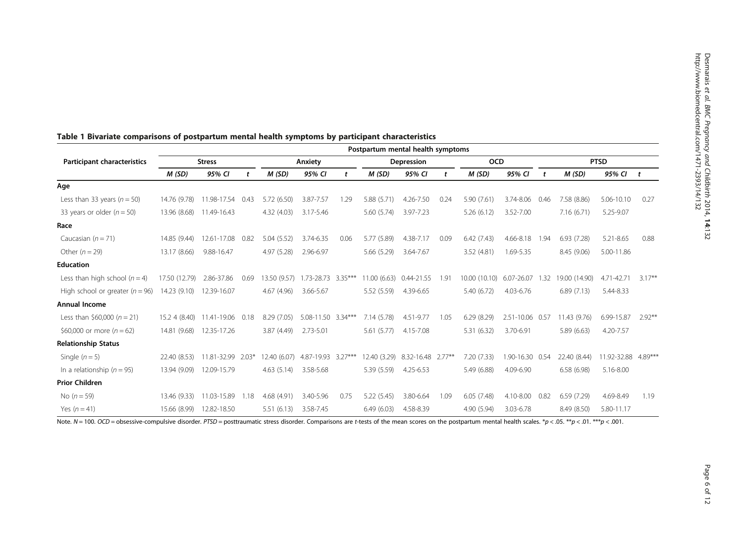|                                     | Postpartum mental health symptoms |             |         |              |                    |           |              |                |           |               |                 |              |               |             |              |
|-------------------------------------|-----------------------------------|-------------|---------|--------------|--------------------|-----------|--------------|----------------|-----------|---------------|-----------------|--------------|---------------|-------------|--------------|
| <b>Participant characteristics</b>  | <b>Stress</b>                     |             |         |              | Anxiety            |           | Depression   |                |           | <b>OCD</b>    |                 | <b>PTSD</b>  |               |             |              |
|                                     | M(SD)                             | 95% CI      |         | M(SD)        | 95% CI             | t         | M(SD)        | 95% CI         | t         | M(SD)         | 95% CI          | $\mathbf{r}$ | M(SD)         | 95% CI      | $\mathbf{t}$ |
| Age                                 |                                   |             |         |              |                    |           |              |                |           |               |                 |              |               |             |              |
| Less than 33 years ( $n = 50$ )     | 14.76 (9.78)                      | 11.98-17.54 | 0.43    | 5.72 (6.50)  | 3.87-7.57          | 1.29      | 5.88 (5.71)  | 4.26-7.50      | 0.24      | 5.90 (7.61)   | 3.74-8.06       | 0.46         | 7.58 (8.86)   | 5.06-10.10  | 0.27         |
| 33 years or older ( $n = 50$ )      | 13.96 (8.68)                      | 11.49-16.43 |         | 4.32 (4.03)  | 3.17-5.46          |           | 5.60(5.74)   | 3.97-7.23      |           | 5.26(6.12)    | 3.52-7.00       |              | 7.16(6.71)    | 5.25-9.07   |              |
| Race                                |                                   |             |         |              |                    |           |              |                |           |               |                 |              |               |             |              |
| Caucasian $(n = 71)$                | 14.85 (9.44)                      | 12.61-17.08 | 0.82    | 5.04(5.52)   | 3.74-6.35          | 0.06      | 5.77 (5.89)  | 4.38-7.17      | 0.09      | 6.42(7.43)    | 4.66-8.18       | 1.94         | 6.93(7.28)    | 5.21-8.65   | 0.88         |
| Other $(n = 29)$                    | 13.17 (8.66)                      | 9.88-16.47  |         | 4.97 (5.28)  | 2.96-6.97          |           | 5.66 (5.29)  | 3.64-7.67      |           | 3.52 (4.81)   | 1.69-5.35       |              | 8.45 (9.06)   | 5.00-11.86  |              |
| <b>Education</b>                    |                                   |             |         |              |                    |           |              |                |           |               |                 |              |               |             |              |
| Less than high school $(n = 4)$     | 17.50 (12.79)                     | 2.86-37.86  | 0.69    | 13.50 (9.57) | 1.73-28.73 3.35*** |           | 11.00(6.63)  | $0.44 - 21.55$ | 1.91      | 10.00 (10.10) | $6.07 - 26.07$  | 1.32         | 19.00 (14.90) | 4.71-42.71  | $3.17***$    |
| High school or greater ( $n = 96$ ) | 14.23 (9.10)                      | 12.39-16.07 |         | 4.67(4.96)   | 3.66-5.67          |           | 5.52 (5.59)  | 4.39-6.65      |           | 5.40(6.72)    | 4.03-6.76       |              | 6.89(7.13)    | 5.44-8.33   |              |
| <b>Annual Income</b>                |                                   |             |         |              |                    |           |              |                |           |               |                 |              |               |             |              |
| Less than \$60,000 ( $n = 21$ )     | 15.2 4 (8.40)                     | 11.41-19.06 | 0.18    | 8.29 (7.05)  | 5.08-11.50 3.34*** |           | 7.14(5.78)   | 4.51-9.77      | 1.05      | 6.29(8.29)    | 2.51-10.06 0.57 |              | 11.43 (9.76)  | 6.99-15.87  | $2.92***$    |
| \$60,000 or more ( $n = 62$ )       | 14.81 (9.68)                      | 12.35-17.26 |         | 3.87(4.49)   | 2.73-5.01          |           | 5.61(5.77)   | 4.15-7.08      |           | 5.31(6.32)    | 3.70-6.91       |              | 5.89(6.63)    | 4.20-7.57   |              |
| <b>Relationship Status</b>          |                                   |             |         |              |                    |           |              |                |           |               |                 |              |               |             |              |
| Single $(n=5)$                      | 22.40 (8.53)                      | 11.81-32.99 | $2.03*$ | 12.40 (6.07) | 4.87-19.93         | $3.27***$ | 12.40 (3.29) | 8.32-16.48     | $2.77***$ | 7.20 (7.33)   | 1.90-16.30 0.54 |              | 22.40 (8.44)  | 11.92-32.88 | $4.89***$    |
| In a relationship ( $n = 95$ )      | 13.94 (9.09)                      | 12.09-15.79 |         | 4.63(5.14)   | 3.58-5.68          |           | 5.39 (5.59)  | 4.25-6.53      |           | 5.49 (6.88)   | 4.09-6.90       |              | 6.58 (6.98)   | 5.16-8.00   |              |
| <b>Prior Children</b>               |                                   |             |         |              |                    |           |              |                |           |               |                 |              |               |             |              |
| No $(n = 59)$                       | 13.46 (9.33)                      | 11.03-15.89 | 1.18    | 4.68 (4.91)  | 3.40-5.96          | 0.75      | 5.22(5.45)   | 3.80-6.64      | 1.09      | 6.05(7.48)    | 4.10-8.00       | 0.82         | 6.59(7.29)    | 4.69-8.49   | 1.19         |
| Yes $(n = 41)$                      | 15.66 (8.99)                      | 12.82-18.50 |         | 5.51(6.13)   | 3.58-7.45          |           | 6.49(6.03)   | 4.58-8.39      |           | 4.90 (5.94)   | 3.03-6.78       |              | 8.49 (8.50)   | 5.80-11.17  |              |

# <span id="page-5-0"></span>Table 1 Bivariate comparisons of postpartum mental health symptoms by participant characteristics

Note. N = 100. OCD = obsessive-compulsive disorder. PTSD = posttraumatic stress disorder. Comparisons are t-tests of the mean scores on the postpartum mental health scales. \*p <.05. \*\*p <.01. \*\*\*p <.001.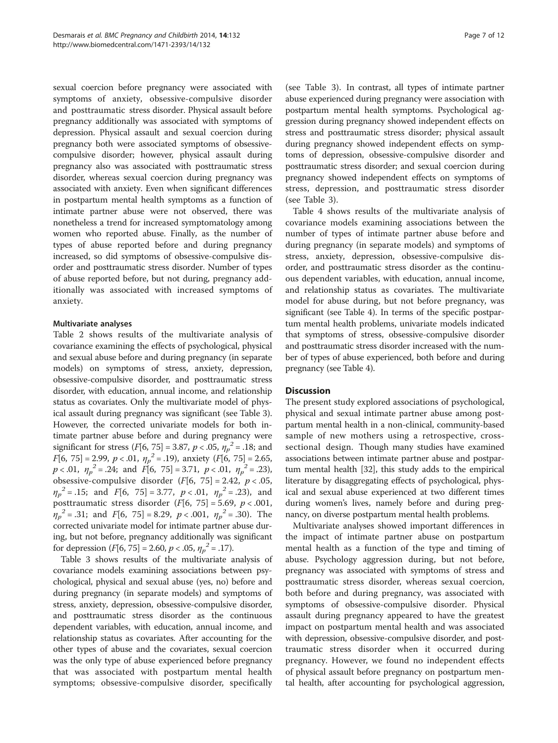sexual coercion before pregnancy were associated with symptoms of anxiety, obsessive-compulsive disorder and posttraumatic stress disorder. Physical assault before pregnancy additionally was associated with symptoms of depression. Physical assault and sexual coercion during pregnancy both were associated symptoms of obsessivecompulsive disorder; however, physical assault during pregnancy also was associated with posttraumatic stress disorder, whereas sexual coercion during pregnancy was associated with anxiety. Even when significant differences in postpartum mental health symptoms as a function of intimate partner abuse were not observed, there was nonetheless a trend for increased symptomatology among women who reported abuse. Finally, as the number of types of abuse reported before and during pregnancy increased, so did symptoms of obsessive-compulsive disorder and posttraumatic stress disorder. Number of types of abuse reported before, but not during, pregnancy additionally was associated with increased symptoms of anxiety.

#### Multivariate analyses

Table [2](#page-7-0) shows results of the multivariate analysis of covariance examining the effects of psychological, physical and sexual abuse before and during pregnancy (in separate models) on symptoms of stress, anxiety, depression, obsessive-compulsive disorder, and posttraumatic stress disorder, with education, annual income, and relationship status as covariates. Only the multivariate model of physical assault during pregnancy was significant (see Table [3](#page-8-0)). However, the corrected univariate models for both intimate partner abuse before and during pregnancy were significant for stress  $(F[6, 75] = 3.87, p < .05, \eta_p^2 = .18;$  and  $F[6, 75] = 2.99, p < .01, \eta_p^2 = .19$ , anxiety  $(F[6, 75] = 2.65,$  $p < .01$ ,  $\eta_p^2 = .24$ ; and  $F[6, 75] = 3.71$ ,  $p < .01$ ,  $\eta_p^2 = .23$ ), obsessive-compulsive disorder  $(F[6, 75] = 2.42, p < .05,$  $\eta_p^2 = .15$ ; and  $F[6, 75] = 3.77$ ,  $p < .01$ ,  $\eta_p^2 = .23$ ), and posttraumatic stress disorder  $(F[6, 75] = 5.69, p < .001,$  $\sqrt{\eta_p}^2$  = .31; and F[6, 75] = 8.29, p < .001,  $\eta_p^2$  = .30). The corrected univariate model for intimate partner abuse during, but not before, pregnancy additionally was significant for depression (*F*[6, 75] = 2.60, *p* < .05,  $\eta_p^2$  = .17).

Table [3](#page-8-0) shows results of the multivariate analysis of covariance models examining associations between psychological, physical and sexual abuse (yes, no) before and during pregnancy (in separate models) and symptoms of stress, anxiety, depression, obsessive-compulsive disorder, and posttraumatic stress disorder as the continuous dependent variables, with education, annual income, and relationship status as covariates. After accounting for the other types of abuse and the covariates, sexual coercion was the only type of abuse experienced before pregnancy that was associated with postpartum mental health symptoms; obsessive-compulsive disorder, specifically (see Table [3\)](#page-8-0). In contrast, all types of intimate partner abuse experienced during pregnancy were association with postpartum mental health symptoms. Psychological aggression during pregnancy showed independent effects on stress and posttraumatic stress disorder; physical assault during pregnancy showed independent effects on symptoms of depression, obsessive-compulsive disorder and posttraumatic stress disorder; and sexual coercion during pregnancy showed independent effects on symptoms of stress, depression, and posttraumatic stress disorder (see Table [3\)](#page-8-0).

Table [4](#page-9-0) shows results of the multivariate analysis of covariance models examining associations between the number of types of intimate partner abuse before and during pregnancy (in separate models) and symptoms of stress, anxiety, depression, obsessive-compulsive disorder, and posttraumatic stress disorder as the continuous dependent variables, with education, annual income, and relationship status as covariates. The multivariate model for abuse during, but not before pregnancy, was significant (see Table [4\)](#page-9-0). In terms of the specific postpartum mental health problems, univariate models indicated that symptoms of stress, obsessive-compulsive disorder and posttraumatic stress disorder increased with the number of types of abuse experienced, both before and during pregnancy (see Table [4](#page-9-0)).

# **Discussion**

The present study explored associations of psychological, physical and sexual intimate partner abuse among postpartum mental health in a non-clinical, community-based sample of new mothers using a retrospective, crosssectional design. Though many studies have examined associations between intimate partner abuse and postpartum mental health [\[32\]](#page-11-0), this study adds to the empirical literature by disaggregating effects of psychological, physical and sexual abuse experienced at two different times during women's lives, namely before and during pregnancy, on diverse postpartum mental health problems.

Multivariate analyses showed important differences in the impact of intimate partner abuse on postpartum mental health as a function of the type and timing of abuse. Psychology aggression during, but not before, pregnancy was associated with symptoms of stress and posttraumatic stress disorder, whereas sexual coercion, both before and during pregnancy, was associated with symptoms of obsessive-compulsive disorder. Physical assault during pregnancy appeared to have the greatest impact on postpartum mental health and was associated with depression, obsessive-compulsive disorder, and posttraumatic stress disorder when it occurred during pregnancy. However, we found no independent effects of physical assault before pregnancy on postpartum mental health, after accounting for psychological aggression,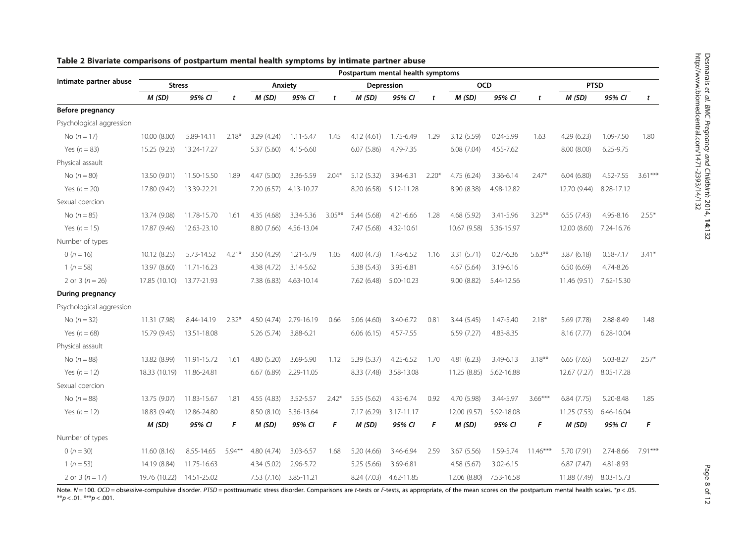|                          |               | Postpartum mental health symptoms |           |             |                        |           |             |            |         |              |               |            |              |               |           |
|--------------------------|---------------|-----------------------------------|-----------|-------------|------------------------|-----------|-------------|------------|---------|--------------|---------------|------------|--------------|---------------|-----------|
| Intimate partner abuse   | <b>Stress</b> |                                   |           |             | Anxiety                |           | Depression  |            |         | <b>OCD</b>   |               |            | <b>PTSD</b>  |               |           |
|                          | M(SD)         | 95% CI                            | t         | M(SD)       | 95% CI                 | t         | M(SD)       | 95% CI     | t       | M(SD)        | 95% CI        | t          | M(SD)        | 95% CI        | t         |
| Before pregnancy         |               |                                   |           |             |                        |           |             |            |         |              |               |            |              |               |           |
| Psychological aggression |               |                                   |           |             |                        |           |             |            |         |              |               |            |              |               |           |
| No $(n = 17)$            | 10.00 (8.00)  | 5.89-14.11                        | $2.18*$   | 3.29 (4.24) | 1.11-5.47              | 1.45      | 4.12(4.61)  | 1.75-6.49  | 1.29    | 3.12 (5.59)  | $0.24 - 5.99$ | 1.63       | 4.29(6.23)   | 1.09-7.50     | 1.80      |
| Yes $(n=83)$             | 15.25 (9.23)  | 13.24-17.27                       |           | 5.37 (5.60) | 4.15-6.60              |           | 6.07(5.86)  | 4.79-7.35  |         | 6.08(7.04)   | 4.55-7.62     |            | 8.00 (8.00)  | 6.25-9.75     |           |
| Physical assault         |               |                                   |           |             |                        |           |             |            |         |              |               |            |              |               |           |
| No $(n = 80)$            | 13.50 (9.01)  | 11.50-15.50                       | 1.89      | 4.47 (5.00) | 3.36-5.59              | $2.04*$   | 5.12(5.32)  | 3.94-6.31  | $2.20*$ | 4.75(6.24)   | 3.36-6.14     | $2.47*$    | 6.04(6.80)   | 4.52-7.55     | $3.61***$ |
| Yes $(n = 20)$           | 17.80 (9.42)  | 13.39-22.21                       |           | 7.20 (6.57) | 4.13-10.27             |           | 8.20(6.58)  | 5.12-11.28 |         | 8.90 (8.38)  | 4.98-12.82    |            | 12.70 (9.44) | 8.28-17.12    |           |
| Sexual coercion          |               |                                   |           |             |                        |           |             |            |         |              |               |            |              |               |           |
| No $(n = 85)$            | 13.74 (9.08)  | 11.78-15.70                       | 1.61      | 4.35 (4.68) | 3.34-5.36              | $3.05***$ | 5.44 (5.68) | 4.21-6.66  | 1.28    | 4.68 (5.92)  | 3.41-5.96     | $3.25***$  | 6.55(7.43)   | 4.95-8.16     | $2.55*$   |
| Yes $(n = 15)$           | 17.87 (9.46)  | 12.63-23.10                       |           | 8.80 (7.66) | 4.56-13.04             |           | 7.47 (5.68) | 4.32-10.61 |         | 10.67 (9.58) | 5.36-15.97    |            | 12.00 (8.60) | 7.24-16.76    |           |
| Number of types          |               |                                   |           |             |                        |           |             |            |         |              |               |            |              |               |           |
| 0 ( $n = 16$ )           | 10.12 (8.25)  | 5.73-14.52                        | $4.21*$   | 3.50 (4.29) | 1.21-5.79              | 1.05      | 4.00(4.73)  | 1.48-6.52  | 1.16    | 3.31(5.71)   | $0.27 - 6.36$ | $5.63***$  | 3.87(6.18)   | $0.58 - 7.17$ | $3.41*$   |
| $1(n=58)$                | 13.97 (8.60)  | 11.71-16.23                       |           | 4.38 (4.72) | 3.14-5.62              |           | 5.38 (5.43) | 3.95-6.81  |         | 4.67(5.64)   | 3.19-6.16     |            | 6.50(6.69)   | 4.74-8.26     |           |
| 2 or 3 $(n = 26)$        | 17.85 (10.10) | 13.77-21.93                       |           | 7.38 (6.83) | 4.63-10.14             |           | 7.62 (6.48) | 5.00-10.23 |         | 9.00(8.82)   | 5.44-12.56    |            | 11.46 (9.51) | 7.62-15.30    |           |
| During pregnancy         |               |                                   |           |             |                        |           |             |            |         |              |               |            |              |               |           |
| Psychological aggression |               |                                   |           |             |                        |           |             |            |         |              |               |            |              |               |           |
| No $(n = 32)$            | 11.31 (7.98)  | 8.44-14.19                        | $2.32*$   | 4.50 (4.74) | 2.79-16.19             | 0.66      | 5.06(4.60)  | 3.40-6.72  | 0.81    | 3.44 (5.45)  | 1.47-5.40     | $2.18*$    | 5.69 (7.78)  | 2.88-8.49     | 1.48      |
| Yes $(n=68)$             | 15.79 (9.45)  | 13.51-18.08                       |           | 5.26 (5.74) | 3.88-6.21              |           | 6.06(6.15)  | 4.57-7.55  |         | 6.59(7.27)   | 4.83-8.35     |            | 8.16(7.77)   | 6.28-10.04    |           |
| Physical assault         |               |                                   |           |             |                        |           |             |            |         |              |               |            |              |               |           |
| No $(n = 88)$            | 13.82 (8.99)  | 11.91-15.72                       | 1.61      | 4.80 (5.20) | 3.69-5.90              | 1.12      | 5.39(5.37)  | 4.25-6.52  | 1.70    | 4.81(6.23)   | 3.49-6.13     | $3.18***$  | 6.65(7.65)   | 5.03-8.27     | $2.57*$   |
| Yes $(n = 12)$           | 18.33 (10.19) | 11.86-24.81                       |           | 6.67(6.89)  | 2.29-11.05             |           | 8.33 (7.48) | 3.58-13.08 |         | 11.25 (8.85) | 5.62-16.88    |            | 12.67 (7.27) | 8.05-17.28    |           |
| Sexual coercion          |               |                                   |           |             |                        |           |             |            |         |              |               |            |              |               |           |
| No $(n = 88)$            | 13.75 (9.07)  | 11.83-15.67                       | 1.81      | 4.55 (4.83) | 3.52-5.57              | $2.42*$   | 5.55 (5.62) | 4.35-6.74  | 0.92    | 4.70 (5.98)  | 3.44-5.97     | $3.66***$  | 6.84(7.75)   | 5.20-8.48     | 1.85      |
| Yes $(n = 12)$           | 18.83 (9.40)  | 12.86-24.80                       |           | 8.50 (8.10) | 3.36-13.64             |           | 7.17 (6.29) | 3.17-11.17 |         | 12.00 (9.57) | 5.92-18.08    |            | 11.25 (7.53) | 6.46-16.04    |           |
|                          | M(SD)         | 95% CI                            | F         | M(SD)       | 95% CI                 | F         | M (SD)      | 95% CI     | F       | M (SD)       | 95% CI        | F          | M (SD)       | 95% CI        | F         |
| Number of types          |               |                                   |           |             |                        |           |             |            |         |              |               |            |              |               |           |
| 0 ( $n = 30$ )           | 11.60 (8.16)  | 8.55-14.65                        | $5.94***$ | 4.80 (4.74) | 3.03-6.57              | 1.68      | 5.20(4.66)  | 3.46-6.94  | 2.59    | 3.67(5.56)   | 1.59-5.74     | $11.46***$ | 5.70 (7.91)  | 2.74-8.66     | 7.91***   |
| 1 ( $n = 53$ )           | 14.19 (8.84)  | 11.75-16.63                       |           | 4.34 (5.02) | 2.96-5.72              |           | 5.25(5.66)  | 3.69-6.81  |         | 4.58 (5.67)  | 3.02-6.15     |            | 6.87 (7.47)  | 4.81-8.93     |           |
| 2 or 3 $(n = 17)$        | 19.76 (10.22) | 14.51-25.02                       |           |             | 7.53 (7.16) 3.85-11.21 |           | 8.24 (7.03) | 4.62-11.85 |         | 12.06 (8.80) | 7.53-16.58    |            | 11.88 (7.49) | 8.03-15.73    |           |

#### <span id="page-7-0"></span>Table 2 Bivariate comparisons of postpartum mental health symptoms by intimate partner abuse

Note.  $N = 100$ . OCD = obsessive-compulsive disorder. PTSD = posttraumatic stress disorder. Comparisons are t-tests or F-tests, as appropriate, of the mean scores on the postpartum mental health scales. \*p < .05. \*\*p < .01. \*\*\*p < .001.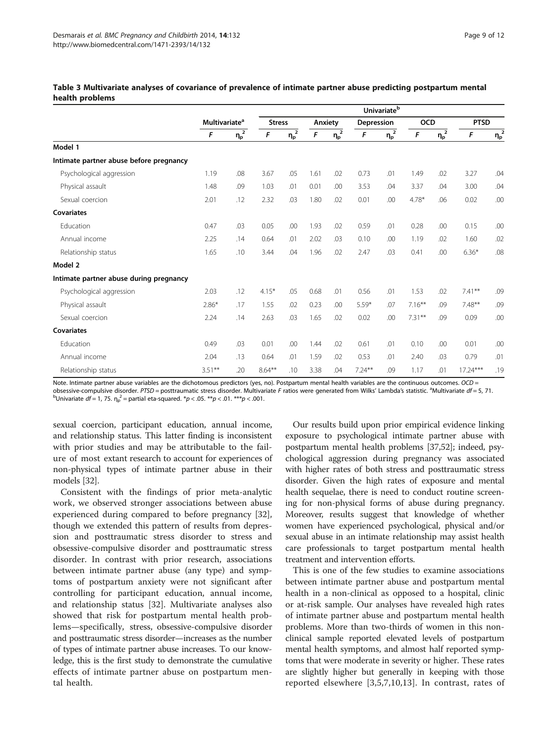|                                         | Univariate <sup>b</sup>         |            |               |            |         |                       |            |            |            |            |             |                    |
|-----------------------------------------|---------------------------------|------------|---------------|------------|---------|-----------------------|------------|------------|------------|------------|-------------|--------------------|
|                                         | <b>Multivariate<sup>a</sup></b> |            | <b>Stress</b> |            | Anxiety |                       | Depression |            | <b>OCD</b> |            | <b>PTSD</b> |                    |
|                                         | F                               | $\eta_p^2$ | F             | $\eta_p^2$ | F       | $\overline{\eta_p}^2$ | F          | $\eta_p^2$ | F          | $\eta_p^2$ | F           | ${\eta_{\rm p}}^2$ |
| Model 1                                 |                                 |            |               |            |         |                       |            |            |            |            |             |                    |
| Intimate partner abuse before pregnancy |                                 |            |               |            |         |                       |            |            |            |            |             |                    |
| Psychological aggression                | 1.19                            | .08        | 3.67          | .05        | 1.61    | .02                   | 0.73       | .01        | 1.49       | .02        | 3.27        | .04                |
| Physical assault                        | 1.48                            | .09        | 1.03          | .01        | 0.01    | .00                   | 3.53       | .04        | 3.37       | .04        | 3.00        | .04                |
| Sexual coercion                         | 2.01                            | .12        | 2.32          | .03        | 1.80    | .02                   | 0.01       | .00        | $4.78*$    | .06        | 0.02        | .00                |
| <b>Covariates</b>                       |                                 |            |               |            |         |                       |            |            |            |            |             |                    |
| Education                               | 0.47                            | .03        | 0.05          | .00        | 1.93    | .02                   | 0.59       | .01        | 0.28       | .00        | 0.15        | .00                |
| Annual income                           | 2.25                            | .14        | 0.64          | .01        | 2.02    | .03                   | 0.10       | .00        | 1.19       | .02        | 1.60        | .02                |
| Relationship status                     | 1.65                            | .10        | 3.44          | .04        | 1.96    | .02                   | 2.47       | .03        | 0.41       | .00        | $6.36*$     | .08                |
| Model 2                                 |                                 |            |               |            |         |                       |            |            |            |            |             |                    |
| Intimate partner abuse during pregnancy |                                 |            |               |            |         |                       |            |            |            |            |             |                    |
| Psychological aggression                | 2.03                            | .12        | $4.15*$       | .05        | 0.68    | .01                   | 0.56       | .01        | 1.53       | .02        | $7.41***$   | .09                |
| Physical assault                        | $2.86*$                         | .17        | 1.55          | .02        | 0.23    | .00                   | $5.59*$    | .07        | $7.16***$  | .09        | $7.48**$    | .09                |
| Sexual coercion                         | 2.24                            | .14        | 2.63          | .03        | 1.65    | .02                   | 0.02       | .00        | $7.31***$  | .09        | 0.09        | .00                |
| <b>Covariates</b>                       |                                 |            |               |            |         |                       |            |            |            |            |             |                    |
| Education                               | 0.49                            | .03        | 0.01          | .00        | 1.44    | .02                   | 0.61       | .01        | 0.10       | .00        | 0.01        | .00                |
| Annual income                           | 2.04                            | .13        | 0.64          | .01        | 1.59    | .02                   | 0.53       | .01        | 2.40       | .03        | 0.79        | .01                |
| Relationship status                     | $3.51***$                       | .20        | $8.64***$     | .10        | 3.38    | .04                   | $7.24***$  | .09        | 1.17       | .01        | $17.24***$  | .19                |

#### <span id="page-8-0"></span>Table 3 Multivariate analyses of covariance of prevalence of intimate partner abuse predicting postpartum mental health problems

Note. Intimate partner abuse variables are the dichotomous predictors (yes, no). Postpartum mental health variables are the continuous outcomes. OCD = obsessive-compulsive disorder. PTSD = posttraumatic stress disorder. Multivariate F ratios were generated from Wilks' Lambda's statistic. <sup>a</sup>Multivariate df = 5, 71.<br><sup>b</sup>Univariate df = 1, 75, p<sup>2</sup> = partial eta-couared \*p Univariate  $df = 1$ , 75.  $\eta_p^2 =$  partial eta-squared.  $p < .05$ .  $\frac{1}{100} < .01$ .  $\frac{1}{100} < .001$ .

sexual coercion, participant education, annual income, and relationship status. This latter finding is inconsistent with prior studies and may be attributable to the failure of most extant research to account for experiences of non-physical types of intimate partner abuse in their models [\[32\]](#page-11-0).

Consistent with the findings of prior meta-analytic work, we observed stronger associations between abuse experienced during compared to before pregnancy [\[32](#page-11-0)], though we extended this pattern of results from depression and posttraumatic stress disorder to stress and obsessive-compulsive disorder and posttraumatic stress disorder. In contrast with prior research, associations between intimate partner abuse (any type) and symptoms of postpartum anxiety were not significant after controlling for participant education, annual income, and relationship status [[32](#page-11-0)]. Multivariate analyses also showed that risk for postpartum mental health problems—specifically, stress, obsessive-compulsive disorder and posttraumatic stress disorder—increases as the number of types of intimate partner abuse increases. To our knowledge, this is the first study to demonstrate the cumulative effects of intimate partner abuse on postpartum mental health.

Our results build upon prior empirical evidence linking exposure to psychological intimate partner abuse with postpartum mental health problems [\[37,52](#page-11-0)]; indeed, psychological aggression during pregnancy was associated with higher rates of both stress and posttraumatic stress disorder. Given the high rates of exposure and mental health sequelae, there is need to conduct routine screening for non-physical forms of abuse during pregnancy. Moreover, results suggest that knowledge of whether women have experienced psychological, physical and/or sexual abuse in an intimate relationship may assist health care professionals to target postpartum mental health treatment and intervention efforts.

This is one of the few studies to examine associations between intimate partner abuse and postpartum mental health in a non-clinical as opposed to a hospital, clinic or at-risk sample. Our analyses have revealed high rates of intimate partner abuse and postpartum mental health problems. More than two-thirds of women in this nonclinical sample reported elevated levels of postpartum mental health symptoms, and almost half reported symptoms that were moderate in severity or higher. These rates are slightly higher but generally in keeping with those reported elsewhere [[3,5,7,10](#page-10-0),[13](#page-10-0)]. In contrast, rates of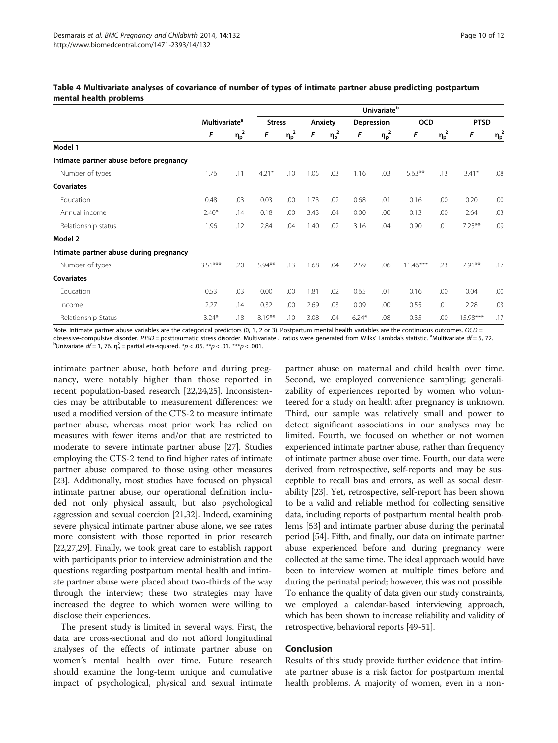|                                         |                                 |            | Univariate <sup>b</sup> |            |         |                                        |            |                       |            |                       |             |                    |  |  |
|-----------------------------------------|---------------------------------|------------|-------------------------|------------|---------|----------------------------------------|------------|-----------------------|------------|-----------------------|-------------|--------------------|--|--|
|                                         | <b>Multivariate<sup>a</sup></b> |            | <b>Stress</b>           |            | Anxiety |                                        | Depression |                       | <b>OCD</b> |                       | <b>PTSD</b> |                    |  |  |
|                                         | F                               | $\eta_p^2$ | F                       | $\eta_p^2$ | F       | $\overline{\mathbf{2}}$<br>$n_{\rm p}$ | F          | $\overline{\eta_p}^2$ | F          | $\overline{\eta_p}^2$ | F           | ${\eta_{\rm p}}^2$ |  |  |
| Model 1                                 |                                 |            |                         |            |         |                                        |            |                       |            |                       |             |                    |  |  |
| Intimate partner abuse before pregnancy |                                 |            |                         |            |         |                                        |            |                       |            |                       |             |                    |  |  |
| Number of types                         | 1.76                            | .11        | $4.21*$                 | .10        | 1.05    | .03                                    | 1.16       | .03                   | $5.63***$  | .13                   | $3.41*$     | .08                |  |  |
| <b>Covariates</b>                       |                                 |            |                         |            |         |                                        |            |                       |            |                       |             |                    |  |  |
| Education                               | 0.48                            | .03        | 0.03                    | .00        | 1.73    | .02                                    | 0.68       | .01                   | 0.16       | .00                   | 0.20        | .00                |  |  |
| Annual income                           | $2.40*$                         | .14        | 0.18                    | .00        | 3.43    | .04                                    | 0.00       | .00                   | 0.13       | .00                   | 2.64        | .03                |  |  |
| Relationship status                     | 1.96                            | .12        | 2.84                    | .04        | 1.40    | .02                                    | 3.16       | .04                   | 0.90       | .01                   | $7.25***$   | .09                |  |  |
| Model 2                                 |                                 |            |                         |            |         |                                        |            |                       |            |                       |             |                    |  |  |
| Intimate partner abuse during pregnancy |                                 |            |                         |            |         |                                        |            |                       |            |                       |             |                    |  |  |
| Number of types                         | $3.51***$                       | .20        | $5.94***$               | .13        | 1.68    | .04                                    | 2.59       | .06                   | $11.46***$ | .23                   | $7.91***$   | .17                |  |  |
| Covariates                              |                                 |            |                         |            |         |                                        |            |                       |            |                       |             |                    |  |  |
| Education                               | 0.53                            | .03        | 0.00                    | .00        | 1.81    | .02                                    | 0.65       | .01                   | 0.16       | .00                   | 0.04        | .00                |  |  |
| Income                                  | 2.27                            | .14        | 0.32                    | .00        | 2.69    | .03                                    | 0.09       | .00                   | 0.55       | .01                   | 2.28        | .03                |  |  |
| Relationship Status                     | $3.24*$                         | .18        | $8.19***$               | .10        | 3.08    | .04                                    | $6.24*$    | .08                   | 0.35       | .00                   | 15.98***    | .17                |  |  |

#### <span id="page-9-0"></span>Table 4 Multivariate analyses of covariance of number of types of intimate partner abuse predicting postpartum mental health problems

Note. Intimate partner abuse variables are the categorical predictors (0, 1, 2 or 3). Postpartum mental health variables are the continuous outcomes. OCD = obsessive-compulsive disorder. PTSD = posttraumatic stress disorder. Multivariate F ratios were generated from Wilks' Lambda's statistic. <sup>a</sup>Multivariate df = 5, 72.<br><sup>b</sup>Univariate df = 1, 76, p<sup>2</sup> = partial eta-couared, \* Univariate df = 1, 76.  $\eta_p^2$  = partial eta-squared.  $* p < .05$ .  $** p < .01$ .  $*** p < .001$ .

intimate partner abuse, both before and during pregnancy, were notably higher than those reported in recent population-based research [\[22,](#page-10-0)[24](#page-11-0),[25](#page-11-0)]. Inconsistencies may be attributable to measurement differences: we used a modified version of the CTS-2 to measure intimate partner abuse, whereas most prior work has relied on measures with fewer items and/or that are restricted to moderate to severe intimate partner abuse [\[27](#page-11-0)]. Studies employing the CTS-2 tend to find higher rates of intimate partner abuse compared to those using other measures [[23](#page-11-0)]. Additionally, most studies have focused on physical intimate partner abuse, our operational definition included not only physical assault, but also psychological aggression and sexual coercion [\[21,](#page-10-0)[32](#page-11-0)]. Indeed, examining severe physical intimate partner abuse alone, we see rates more consistent with those reported in prior research [[22](#page-10-0)[,27,29\]](#page-11-0). Finally, we took great care to establish rapport with participants prior to interview administration and the questions regarding postpartum mental health and intimate partner abuse were placed about two-thirds of the way through the interview; these two strategies may have increased the degree to which women were willing to disclose their experiences.

The present study is limited in several ways. First, the data are cross-sectional and do not afford longitudinal analyses of the effects of intimate partner abuse on women's mental health over time. Future research should examine the long-term unique and cumulative impact of psychological, physical and sexual intimate

partner abuse on maternal and child health over time. Second, we employed convenience sampling; generalizability of experiences reported by women who volunteered for a study on health after pregnancy is unknown. Third, our sample was relatively small and power to detect significant associations in our analyses may be limited. Fourth, we focused on whether or not women experienced intimate partner abuse, rather than frequency of intimate partner abuse over time. Fourth, our data were derived from retrospective, self-reports and may be susceptible to recall bias and errors, as well as social desirability [\[23\]](#page-11-0). Yet, retrospective, self-report has been shown to be a valid and reliable method for collecting sensitive data, including reports of postpartum mental health problems [[53](#page-11-0)] and intimate partner abuse during the perinatal period [\[54\]](#page-11-0). Fifth, and finally, our data on intimate partner abuse experienced before and during pregnancy were collected at the same time. The ideal approach would have been to interview women at multiple times before and during the perinatal period; however, this was not possible. To enhance the quality of data given our study constraints, we employed a calendar-based interviewing approach, which has been shown to increase reliability and validity of retrospective, behavioral reports [[49](#page-11-0)-[51](#page-11-0)].

# Conclusion

Results of this study provide further evidence that intimate partner abuse is a risk factor for postpartum mental health problems. A majority of women, even in a non-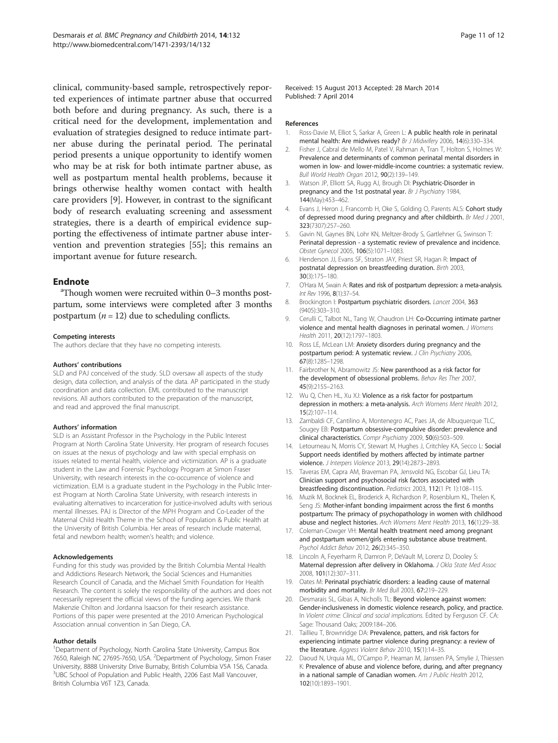<span id="page-10-0"></span>clinical, community-based sample, retrospectively reported experiences of intimate partner abuse that occurred both before and during pregnancy. As such, there is a critical need for the development, implementation and evaluation of strategies designed to reduce intimate partner abuse during the perinatal period. The perinatal period presents a unique opportunity to identify women who may be at risk for both intimate partner abuse, as well as postpartum mental health problems, because it brings otherwise healthy women contact with health care providers [9]. However, in contrast to the significant body of research evaluating screening and assessment strategies, there is a dearth of empirical evidence supporting the effectiveness of intimate partner abuse intervention and prevention strategies [\[55\]](#page-11-0); this remains an important avenue for future research.

#### **Endnote**

Though women were recruited within 0–3 months postpartum, some interviews were completed after 3 months postpartum ( $n = 12$ ) due to scheduling conflicts.

#### Competing interests

The authors declare that they have no competing interests.

#### Authors' contributions

SLD and PAJ conceived of the study. SLD oversaw all aspects of the study design, data collection, and analysis of the data. AP participated in the study coordination and data collection. EML contributed to the manuscript revisions. All authors contributed to the preparation of the manuscript, and read and approved the final manuscript.

#### Authors' information

SLD is an Assistant Professor in the Psychology in the Public Interest Program at North Carolina State University. Her program of research focuses on issues at the nexus of psychology and law with special emphasis on issues related to mental health, violence and victimization. AP is a graduate student in the Law and Forensic Psychology Program at Simon Fraser University, with research interests in the co-occurrence of violence and victimization. ELM is a graduate student in the Psychology in the Public Interest Program at North Carolina State University, with research interests in evaluating alternatives to incarceration for justice-involved adults with serious mental illnesses. PAJ is Director of the MPH Program and Co-Leader of the Maternal Child Health Theme in the School of Population & Public Health at the University of British Columbia. Her areas of research include maternal, fetal and newborn health; women's health; and violence.

#### Acknowledgements

Funding for this study was provided by the British Columbia Mental Health and Addictions Research Network, the Social Sciences and Humanities Research Council of Canada, and the Michael Smith Foundation for Health Research. The content is solely the responsibility of the authors and does not necessarily represent the official views of the funding agencies. We thank Makenzie Chilton and Jordanna Isaacson for their research assistance. Portions of this paper were presented at the 2010 American Psychological Association annual convention in San Diego, CA.

#### Author details

<sup>1</sup>Department of Psychology, North Carolina State University, Campus Box 7650, Raleigh NC 27695-7650, USA. <sup>2</sup>Department of Psychology, Simon Fraser University, 8888 University Drive Burnaby, British Columbia V5A 1S6, Canada. <sup>3</sup>UBC School of Population and Public Health, 2206 East Mall Vancouver, British Columbia V6T 1Z3, Canada.

Received: 15 August 2013 Accepted: 28 March 2014 Published: 7 April 2014

#### References

- 1. Ross-Davie M, Elliot S, Sarkar A, Green L: A public health role in perinatal mental health: Are midwives ready? Br J Midwifery 2006, 14(6):330–334.
- 2. Fisher J, Cabral de Mello M, Patel V, Rahman A, Tran T, Holton S, Holmes W: Prevalence and determinants of common perinatal mental disorders in women in low- and lower-middle-income countries: a systematic review. Bull World Health Organ 2012, 90(2):139–149.
- 3. Watson JP, Elliott SA, Rugg AJ, Brough DI: Psychiatric-Disorder in pregnancy and the 1st postnatal year. Br J Psychiatry 1984, 144(May):453–462.
- 4. Evans J, Heron J, Francomb H, Oke S, Golding O, Parents ALS: Cohort study of depressed mood during pregnancy and after childbirth. Br Med J 2001, 323(7307):257–260.
- 5. Gavin NI, Gaynes BN, Lohr KN, Meltzer-Brody S, Gartlehner G, Swinson T: Perinatal depression - a systematic review of prevalence and incidence. Obstet Gynecol 2005, 106(5):1071–1083.
- 6. Henderson JJ, Evans SF, Straton JAY, Priest SR, Hagan R: Impact of postnatal depression on breastfeeding duration. Birth 2003, 30(3):175–180.
- 7. O'Hara M, Swain A: Rates and risk of postpartum depression: a meta-analysis. Int Rev 1996, 8(1):37–54.
- 8. Brockington I: Postpartum psychiatric disorders. Lancet 2004, 363 (9405):303–310.
- 9. Cerulli C, Talbot NL, Tang W, Chaudron LH: Co-Occurring intimate partner violence and mental health diagnoses in perinatal women. J Womens Health 2011, 20(12):1797–1803.
- 10. Ross LE, McLean LM: Anxiety disorders during pregnancy and the postpartum period: A systematic review. J Clin Psychiatry 2006, 67(8):1285–1298.
- 11. Fairbrother N, Abramowitz JS: New parenthood as a risk factor for the development of obsessional problems. Behav Res Ther 2007, 45(9):2155–2163.
- 12. Wu Q, Chen HL, Xu XJ: Violence as a risk factor for postpartum depression in mothers: a meta-analysis. Arch Womens Ment Health 2012, 15(2):107–114.
- 13. Zambaldi CF, Cantilino A, Montenegro AC, Paes JA, de Albuquerque TLC, Sougey EB: Postpartum obsessive-compulsive disorder: prevalence and clinical characteristics. Compr Psychiatry 2009, 50(6):503–509.
- 14. Letourneau N, Morris CY, Stewart M, Hughes J, Critchley KA, Secco L: Social Support needs identified by mothers affected by intimate partner violence. J Interpers Violence 2013, 29(14):2873–2893.
- 15. Taveras EM, Capra AM, Braveman PA, Jensvold NG, Escobar GJ, Lieu TA: Clinician support and psychosocial risk factors associated with breastfeeding discontinuation. Pediatrics 2003, 112(1 Pt 1):108–115.
- 16. Muzik M, Bocknek EL, Broderick A, Richardson P, Rosenblum KL, Thelen K, Seng JS: Mother-infant bonding impairment across the first 6 months postpartum: The primacy of psychopathology in women with childhood abuse and neglect histories. Arch Womens Ment Health 2013, 16(1):29–38.
- 17. Coleman-Cowger VH: Mental health treatment need among pregnant and postpartum women/girls entering substance abuse treatment. Psychol Addict Behav 2012, 26(2):345–350.
- 18. Lincoln A, Feyerharm R, Damron P, DeVault M, Lorenz D, Dooley S: Maternal depression after delivery in Oklahoma. J Okla State Med Assoc 2008, 101(12):307–311.
- 19. Oates M: Perinatal psychiatric disorders: a leading cause of maternal morbidity and mortality. Br Med Bull 2003, 67:219–229.
- 20. Desmarais SL, Gibas A, Nicholls TL: Beyond violence against women: Gender-inclusiveness in domestic violence research, policy, and practice. In Violent crime: Clinical and social implications. Edited by Ferguson CF. CA: Sage: Thousand Oaks; 2009:184–206.
- 21. Taillieu T, Brownridge DA: Prevalence, patters, and risk factors for experiencing intimate partner violence during pregnancy: a review of the literature. Aggress Violent Behav 2010, 15(1):14-35.
- 22. Daoud N, Urquia ML, O'Campo P, Heaman M, Janssen PA, Smylie J, Thiessen K: Prevalence of abuse and violence before, during, and after pregnancy in a national sample of Canadian women. Am J Public Health 2012, 102(10):1893–1901.